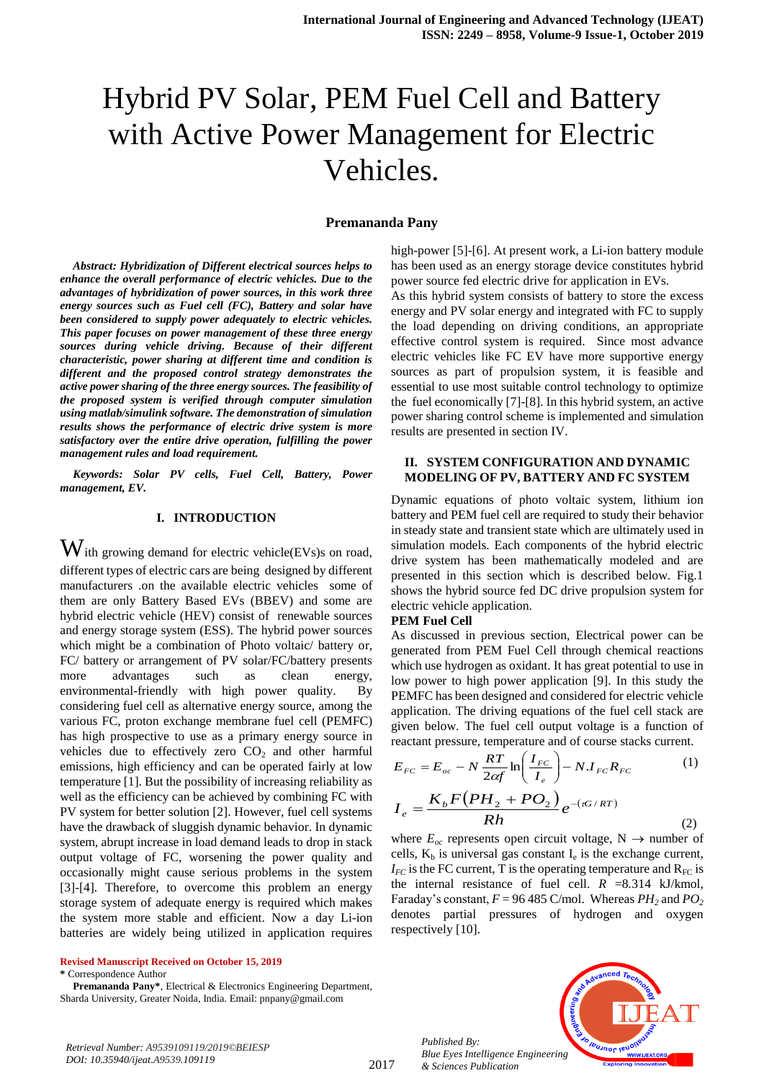# Hybrid PV Solar, PEM Fuel Cell and Battery with Active Power Management for Electric Vehicles.

#### **Premananda Pany**

*Abstract: Hybridization of Different electrical sources helps to enhance the overall performance of electric vehicles. Due to the advantages of hybridization of power sources, in this work three energy sources such as Fuel cell (FC), Battery and solar have been considered to supply power adequately to electric vehicles. This paper focuses on power management of these three energy sources during vehicle driving. Because of their different characteristic, power sharing at different time and condition is different and the proposed control strategy demonstrates the active power sharing of the three energy sources. The feasibility of the proposed system is verified through computer simulation using matlab/simulink software. The demonstration of simulation results shows the performance of electric drive system is more satisfactory over the entire drive operation, fulfilling the power management rules and load requirement.* 

*Keywords: Solar PV cells, Fuel Cell, Battery, Power management, EV.*

## **I. INTRODUCTION**

 $\mathbf W$ ith growing demand for electric vehicle(EVs)s on road, different types of electric cars are being designed by different manufacturers .on the available electric vehicles some of them are only Battery Based EVs (BBEV) and some are hybrid electric vehicle (HEV) consist of renewable sources and energy storage system (ESS). The hybrid power sources which might be a combination of Photo voltaic/ battery or, FC/ battery or arrangement of PV solar/FC/battery presents more advantages such as clean energy, environmental-friendly with high power quality. By considering fuel cell as alternative energy source, among the various FC, proton exchange membrane fuel cell (PEMFC) has high prospective to use as a primary energy source in vehicles due to effectively zero  $CO<sub>2</sub>$  and other harmful emissions, high efficiency and can be operated fairly at low temperature [1]. But the possibility of increasing reliability as well as the efficiency can be achieved by combining FC with PV system for better solution [2]. However, fuel cell systems have the drawback of sluggish dynamic behavior. In dynamic system, abrupt increase in load demand leads to drop in stack output voltage of FC, worsening the power quality and occasionally might cause serious problems in the system [3]-[4]. Therefore, to overcome this problem an energy storage system of adequate energy is required which makes the system more stable and efficient. Now a day Li-ion batteries are widely being utilized in application requires

**Revised Manuscript Received on October 15, 2019**

**\*** Correspondence Author

**Premananda Pany\***, Electrical & Electronics Engineering Department, Sharda University, Greater Noida, India. Email: pnpany@gmail.com

high-power [5]-[6]. At present work, a Li-ion battery module has been used as an energy storage device constitutes hybrid power source fed electric drive for application in EVs.

As this hybrid system consists of battery to store the excess energy and PV solar energy and integrated with FC to supply the load depending on driving conditions, an appropriate effective control system is required. Since most advance electric vehicles like FC EV have more supportive energy sources as part of propulsion system, it is feasible and essential to use most suitable control technology to optimize the fuel economically [7]-[8]. In this hybrid system, an active power sharing control scheme is implemented and simulation results are presented in section IV.

### **II. SYSTEM CONFIGURATION AND DYNAMIC MODELING OF PV, BATTERY AND FC SYSTEM**

Dynamic equations of photo voltaic system, lithium ion battery and PEM fuel cell are required to study their behavior in steady state and transient state which are ultimately used in simulation models. Each components of the hybrid electric drive system has been mathematically modeled and are presented in this section which is described below. Fig.1 shows the hybrid source fed DC drive propulsion system for electric vehicle application.

#### **PEM Fuel Cell**

As discussed in previous section, Electrical power can be generated from PEM Fuel Cell through chemical reactions which use hydrogen as oxidant. It has great potential to use in low power to high power application [9]. In this study the PEMFC has been designed and considered for electric vehicle application. The driving equations of the fuel cell stack are given below. The fuel cell output voltage is a function of reactant pressure, temperature and of course stacks current.

$$
E_{FC} = E_{oc} - N \frac{RT}{2\alpha f} \ln \left( \frac{I_{FC}}{I_e} \right) - N \cdot I_{FC} R_{FC}
$$
 (1)  

$$
K_b F (PH_2 + PO_2) \cdot \frac{G}{2\alpha f R}
$$

$$
I_e = \frac{K_b F (PH_2 + PO_2)}{Rh} e^{-(\pi G/RT)} \tag{2}
$$

where  $E_{oc}$  represents open circuit voltage,  $N \rightarrow$  number of cells,  $K_b$  is universal gas constant  $I_e$  is the exchange current,  $I_{FC}$  is the FC current, T is the operating temperature and  $R_{FC}$  is the internal resistance of fuel cell.  $R = 8.314$  kJ/kmol, Faraday's constant,  $F = 96\,485$  C/mol. Whereas  $PH_2$  and  $PO_2$ denotes partial pressures of hydrogen and oxygen respectively [10].

*Published By: Blue Eyes Intelligence Engineering & Sciences Publication* 

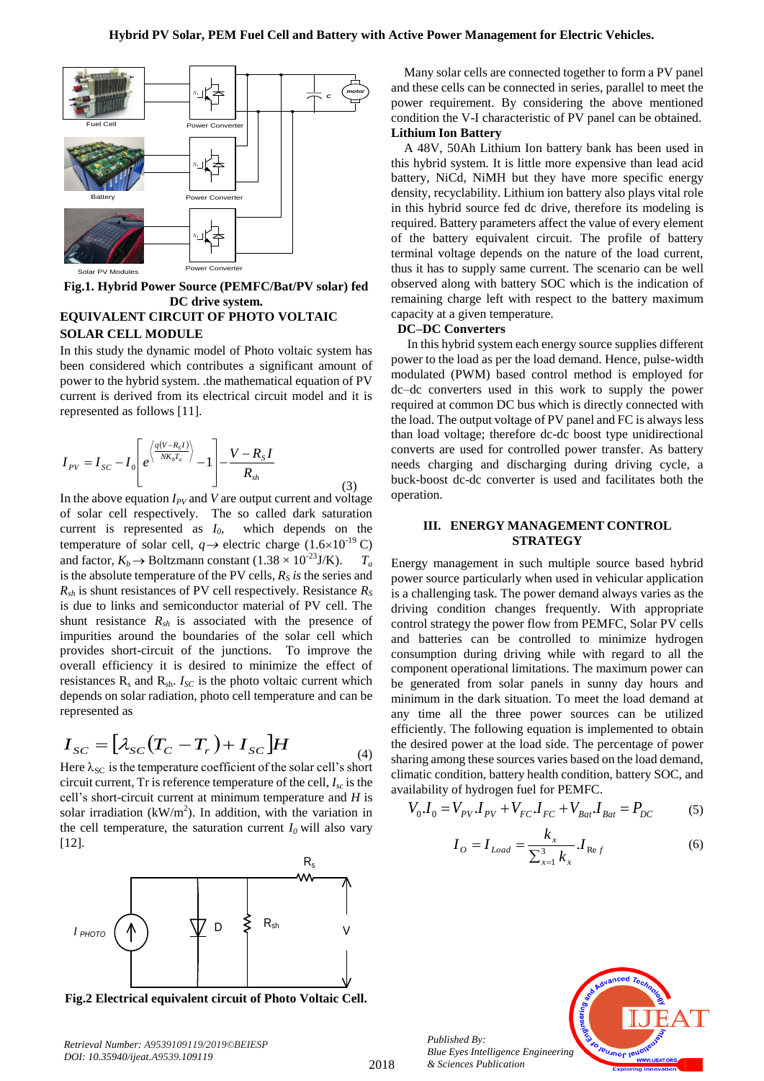

**Fig.1. Hybrid Power Source (PEMFC/Bat/PV solar) fed DC drive system. EQUIVALENT CIRCUIT OF PHOTO VOLTAIC SOLAR CELL MODULE**

In this study the dynamic model of Photo voltaic system has been considered which contributes a significant amount of power to the hybrid system. .the mathematical equation of PV current is derived from its electrical circuit model and it is represented as follows [11].

$$
I_{PV} = I_{SC} - I_0 \left[ e^{\left\langle \frac{q(V - R_S I)}{NK_b T_a} \right\rangle} - 1 \right] - \frac{V - R_S I}{R_{sh}}
$$
(3)

In the above equation  $I_{PV}$  and  $V$  are output current and voltage of solar cell respectively. The so called dark saturation current is represented as  $I_0$ , which depends on the temperature of solar cell,  $q \rightarrow$  electric charge (1.6×10<sup>-19</sup> C) and factor,  $K_b \rightarrow$  Boltzmann constant (1.38 × 10<sup>-23</sup>J/K).  $T_a$ is the absolute temperature of the PV cells,  $R<sub>S</sub>$  *is* the series and  $R_{sh}$  is shunt resistances of PV cell respectively. Resistance  $R_S$ is due to links and semiconductor material of PV cell. The shunt resistance *Rsh* is associated with the presence of impurities around the boundaries of the solar cell which provides short-circuit of the junctions. To improve the overall efficiency it is desired to minimize the effect of resistances  $R_s$  and  $R_{sh}$ .  $I_{SC}$  is the photo voltaic current which depends on solar radiation, photo cell temperature and can be represented as

$$
I_{SC} = \left[\lambda_{SC} (T_C - T_r) + I_{SC}\right]H
$$
\n(4)

Here  $\lambda_{SC}$  is the temperature coefficient of the solar cell's short circuit current, Tr is reference temperature of the cell,  $I<sub>sc</sub>$  is the cell"s short-circuit current at minimum temperature and *H* is solar irradiation ( $kW/m<sup>2</sup>$ ). In addition, with the variation in the cell temperature, the saturation current  $I_0$  will also vary [12].



**Fig.2 Electrical equivalent circuit of Photo Voltaic Cell.**

Many solar cells are connected together to form a PV panel and these cells can be connected in series, parallel to meet the power requirement. By considering the above mentioned condition the V-I characteristic of PV panel can be obtained. **Lithium Ion Battery**

A 48V, 50Ah Lithium Ion battery bank has been used in this hybrid system. It is little more expensive than lead acid battery, NiCd, NiMH but they have more specific energy density, recyclability. Lithium ion battery also plays vital role in this hybrid source fed dc drive, therefore its modeling is required. Battery parameters affect the value of every element of the battery equivalent circuit. The profile of battery terminal voltage depends on the nature of the load current, thus it has to supply same current. The scenario can be well observed along with battery SOC which is the indication of remaining charge left with respect to the battery maximum capacity at a given temperature.

## **DC–DC Converters**

In this hybrid system each energy source supplies different power to the load as per the load demand. Hence, pulse-width modulated (PWM) based control method is employed for dc–dc converters used in this work to supply the power required at common DC bus which is directly connected with the load. The output voltage of PV panel and FC is always less than load voltage; therefore dc-dc boost type unidirectional converts are used for controlled power transfer. As battery needs charging and discharging during driving cycle, a buck-boost dc-dc converter is used and facilitates both the operation.

#### **III. ENERGY MANAGEMENT CONTROL STRATEGY**

Energy management in such multiple source based hybrid power source particularly when used in vehicular application is a challenging task. The power demand always varies as the driving condition changes frequently. With appropriate control strategy the power flow from PEMFC, Solar PV cells and batteries can be controlled to minimize hydrogen consumption during driving while with regard to all the component operational limitations. The maximum power can be generated from solar panels in sunny day hours and minimum in the dark situation. To meet the load demand at any time all the three power sources can be utilized efficiently. The following equation is implemented to obtain the desired power at the load side. The percentage of power sharing among these sources varies based on the load demand, climatic condition, battery health condition, battery SOC, and availability of hydrogen fuel for PEMFC.

$$
V_0 I_0 = V_{PV} I_{PV} + V_{FC} I_{FC} + V_{Bat} I_{Bat} = P_{DC}
$$
 (5)

$$
I_{O} = I_{Load} = \frac{k_x}{\sum_{x=1}^{3} k_x} . I_{Ref}
$$
 (6)



*Published By: Blue Eyes Intelligence Engineering & Sciences Publication*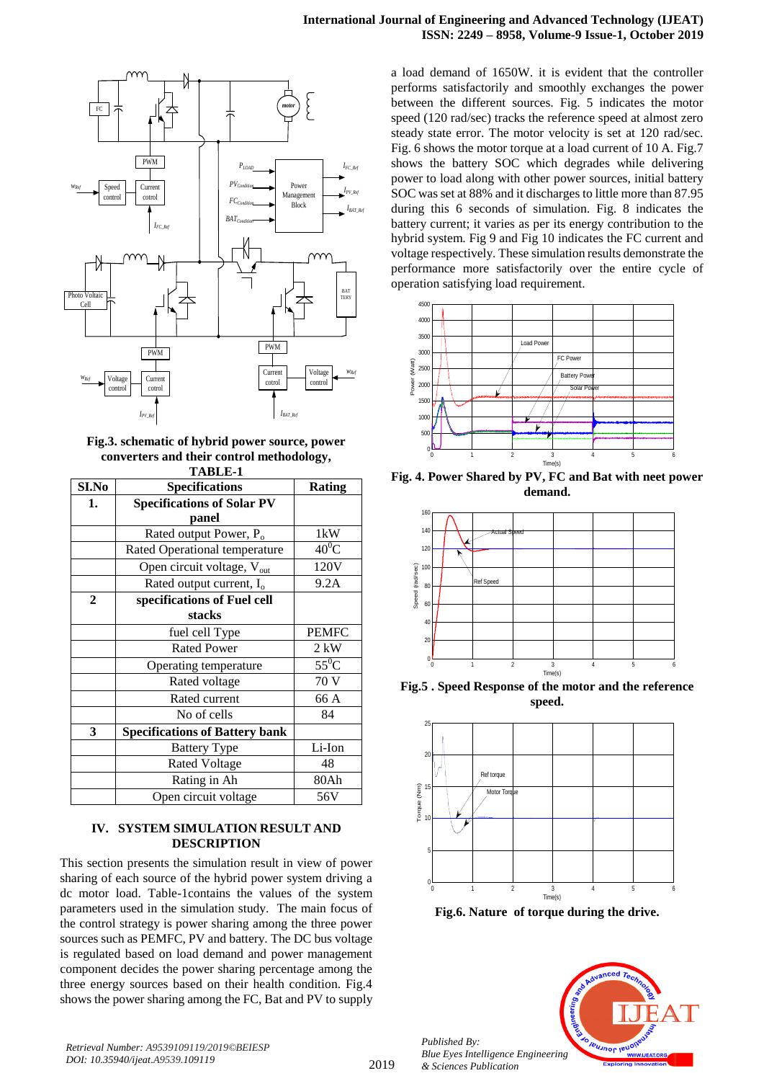



**Fig.3. schematic of hybrid power source, power converters and their control methodology, TABLE-1**

| тарыс-т      |                                        |                                 |
|--------------|----------------------------------------|---------------------------------|
| SI.No        | <b>Specifications</b>                  | <b>Rating</b>                   |
| 1.           | <b>Specifications of Solar PV</b>      |                                 |
|              | panel                                  |                                 |
|              | Rated output Power, $P_0$              | 1kW                             |
|              | Rated Operational temperature          | $40^0$ C                        |
|              | Open circuit voltage, $V_{\text{out}}$ | 120V                            |
|              | Rated output current, $I_0$            | 9.2A                            |
| $\mathbf{2}$ | specifications of Fuel cell            |                                 |
|              | stacks                                 |                                 |
|              | fuel cell Type                         | <b>PEMFC</b>                    |
|              | <b>Rated Power</b>                     | $2$ kW                          |
|              | Operating temperature                  | $55^{\overline{0}}\overline{C}$ |
|              | Rated voltage                          | 70 V                            |
|              | Rated current                          | 66 A                            |
|              | No of cells                            | 84                              |
| 3            | <b>Specifications of Battery bank</b>  |                                 |
|              | <b>Battery Type</b>                    | Li-Ion                          |
|              | <b>Rated Voltage</b>                   | 48                              |
|              | Rating in Ah                           | 80Ah                            |
|              | Open circuit voltage                   | 56V                             |

### **IV. SYSTEM SIMULATION RESULT AND DESCRIPTION**

This section presents the simulation result in view of power sharing of each source of the hybrid power system driving a dc motor load. Table-1contains the values of the system parameters used in the simulation study. The main focus of the control strategy is power sharing among the three power sources such as PEMFC, PV and battery. The DC bus voltage is regulated based on load demand and power management component decides the power sharing percentage among the three energy sources based on their health condition. Fig.4 shows the power sharing among the FC, Bat and PV to supply

a load demand of 1650W. it is evident that the controller performs satisfactorily and smoothly exchanges the power between the different sources. Fig. 5 indicates the motor speed (120 rad/sec) tracks the reference speed at almost zero steady state error. The motor velocity is set at 120 rad/sec. Fig. 6 shows the motor torque at a load current of 10 A. Fig.7 shows the battery SOC which degrades while delivering power to load along with other power sources, initial battery SOC was set at 88% and it discharges to little more than 87.95 during this 6 seconds of simulation. Fig. 8 indicates the battery current; it varies as per its energy contribution to the hybrid system. Fig 9 and Fig 10 indicates the FC current and voltage respectively. These simulation results demonstrate the performance more satisfactorily over the entire cycle of operation satisfying load requirement.



**Fig. 4. Power Shared by PV, FC and Bat with neet power demand.**



**Fig.5 . Speed Response of the motor and the reference speed.**



**Fig.6. Nature of torque during the drive.**



*Retrieval Number: A9539109119/2019©BEIESP DOI: 10.35940/ijeat.A9539.109119*

*Published By:*